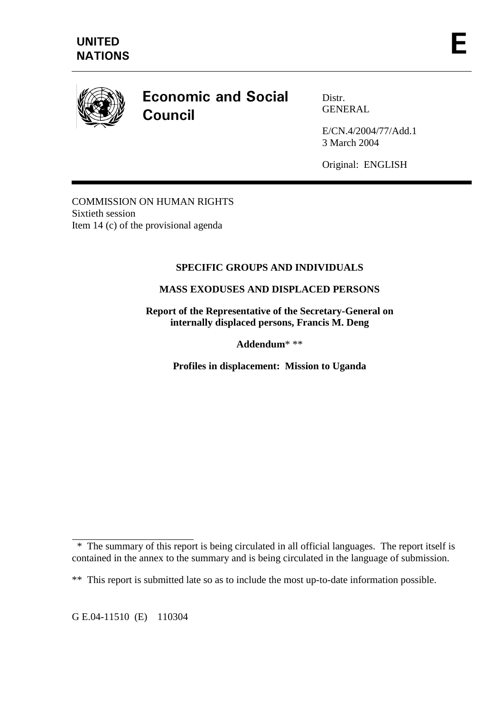

# **Economic and Social** Council

Distr. GENERAL

E/CN.4/2004/77/Add.1 3 March 2004

Original: ENGLISH

COMMISSION ON HUMAN RIGHTS Sixtieth session Item 14 (c) of the provisional agenda

# **SPECIFIC GROUPS AND INDIVIDUALS**

## **MASS EXODUSES AND DISPLACED PERSONS**

**Report of the Representative of the Secretary-General on internally displaced persons, Francis M. Deng** 

**Addendum**\* \*\*

**Profiles in displacement: Mission to Uganda** 

 $\overline{a}$  \* The summary of this report is being circulated in all official languages. The report itself is contained in the annex to the summary and is being circulated in the language of submission.

<sup>\*\*</sup> This report is submitted late so as to include the most up-to-date information possible.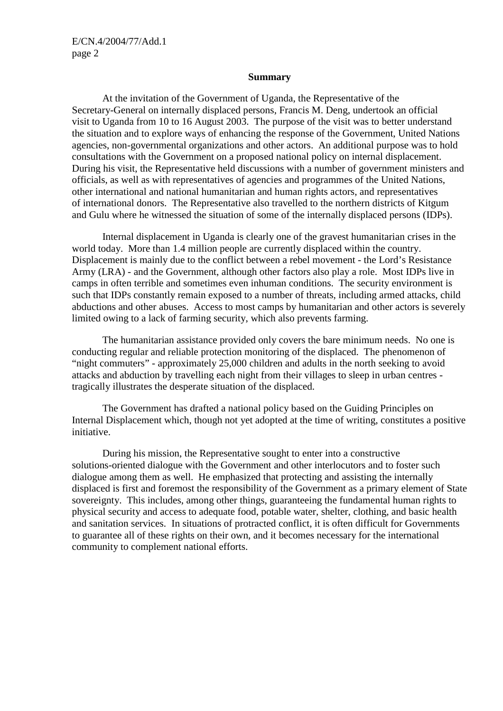#### **Summary**

 At the invitation of the Government of Uganda, the Representative of the Secretary-General on internally displaced persons, Francis M. Deng, undertook an official visit to Uganda from 10 to 16 August 2003. The purpose of the visit was to better understand the situation and to explore ways of enhancing the response of the Government, United Nations agencies, non-governmental organizations and other actors. An additional purpose was to hold consultations with the Government on a proposed national policy on internal displacement. During his visit, the Representative held discussions with a number of government ministers and officials, as well as with representatives of agencies and programmes of the United Nations, other international and national humanitarian and human rights actors, and representatives of international donors. The Representative also travelled to the northern districts of Kitgum and Gulu where he witnessed the situation of some of the internally displaced persons (IDPs).

 Internal displacement in Uganda is clearly one of the gravest humanitarian crises in the world today. More than 1.4 million people are currently displaced within the country. Displacement is mainly due to the conflict between a rebel movement - the Lord's Resistance Army (LRA) - and the Government, although other factors also play a role. Most IDPs live in camps in often terrible and sometimes even inhuman conditions. The security environment is such that IDPs constantly remain exposed to a number of threats, including armed attacks, child abductions and other abuses. Access to most camps by humanitarian and other actors is severely limited owing to a lack of farming security, which also prevents farming.

 The humanitarian assistance provided only covers the bare minimum needs. No one is conducting regular and reliable protection monitoring of the displaced. The phenomenon of "night commuters" - approximately 25,000 children and adults in the north seeking to avoid attacks and abduction by travelling each night from their villages to sleep in urban centres tragically illustrates the desperate situation of the displaced.

 The Government has drafted a national policy based on the Guiding Principles on Internal Displacement which, though not yet adopted at the time of writing, constitutes a positive initiative.

 During his mission, the Representative sought to enter into a constructive solutions-oriented dialogue with the Government and other interlocutors and to foster such dialogue among them as well. He emphasized that protecting and assisting the internally displaced is first and foremost the responsibility of the Government as a primary element of State sovereignty. This includes, among other things, guaranteeing the fundamental human rights to physical security and access to adequate food, potable water, shelter, clothing, and basic health and sanitation services. In situations of protracted conflict, it is often difficult for Governments to guarantee all of these rights on their own, and it becomes necessary for the international community to complement national efforts.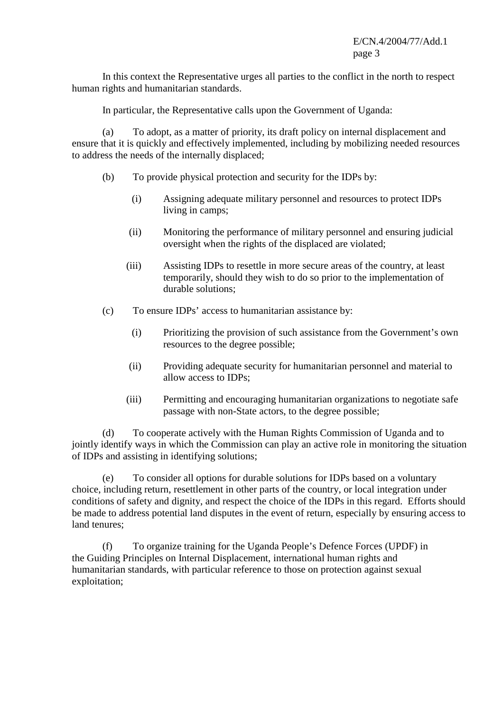In this context the Representative urges all parties to the conflict in the north to respect human rights and humanitarian standards.

In particular, the Representative calls upon the Government of Uganda:

 (a) To adopt, as a matter of priority, its draft policy on internal displacement and ensure that it is quickly and effectively implemented, including by mobilizing needed resources to address the needs of the internally displaced;

- (b) To provide physical protection and security for the IDPs by:
	- (i) Assigning adequate military personnel and resources to protect IDPs living in camps;
	- (ii) Monitoring the performance of military personnel and ensuring judicial oversight when the rights of the displaced are violated;
	- (iii) Assisting IDPs to resettle in more secure areas of the country, at least temporarily, should they wish to do so prior to the implementation of durable solutions;
- (c) To ensure IDPs' access to humanitarian assistance by:
	- (i) Prioritizing the provision of such assistance from the Government's own resources to the degree possible;
	- (ii) Providing adequate security for humanitarian personnel and material to allow access to IDPs;
	- (iii) Permitting and encouraging humanitarian organizations to negotiate safe passage with non-State actors, to the degree possible;

 (d) To cooperate actively with the Human Rights Commission of Uganda and to jointly identify ways in which the Commission can play an active role in monitoring the situation of IDPs and assisting in identifying solutions;

 (e) To consider all options for durable solutions for IDPs based on a voluntary choice, including return, resettlement in other parts of the country, or local integration under conditions of safety and dignity, and respect the choice of the IDPs in this regard. Efforts should be made to address potential land disputes in the event of return, especially by ensuring access to land tenures;

 (f) To organize training for the Uganda People's Defence Forces (UPDF) in the Guiding Principles on Internal Displacement, international human rights and humanitarian standards, with particular reference to those on protection against sexual exploitation;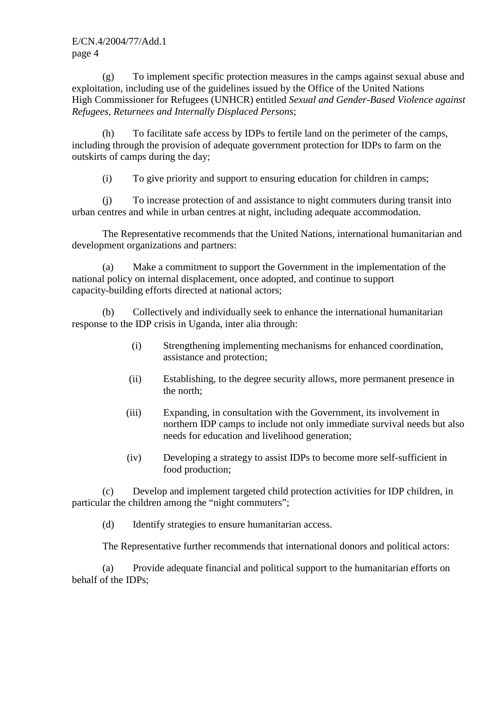(g) To implement specific protection measures in the camps against sexual abuse and exploitation, including use of the guidelines issued by the Office of the United Nations High Commissioner for Refugees (UNHCR) entitled *Sexual and Gender-Based Violence against Refugees, Returnees and Internally Displaced Persons*;

 (h) To facilitate safe access by IDPs to fertile land on the perimeter of the camps, including through the provision of adequate government protection for IDPs to farm on the outskirts of camps during the day;

(i) To give priority and support to ensuring education for children in camps;

 (j) To increase protection of and assistance to night commuters during transit into urban centres and while in urban centres at night, including adequate accommodation.

 The Representative recommends that the United Nations, international humanitarian and development organizations and partners:

 (a) Make a commitment to support the Government in the implementation of the national policy on internal displacement, once adopted, and continue to support capacity-building efforts directed at national actors;

 (b) Collectively and individually seek to enhance the international humanitarian response to the IDP crisis in Uganda, inter alia through:

- (i) Strengthening implementing mechanisms for enhanced coordination, assistance and protection;
- (ii) Establishing, to the degree security allows, more permanent presence in the north;
- (iii) Expanding, in consultation with the Government, its involvement in northern IDP camps to include not only immediate survival needs but also needs for education and livelihood generation;
- (iv) Developing a strategy to assist IDPs to become more self-sufficient in food production;

 (c) Develop and implement targeted child protection activities for IDP children, in particular the children among the "night commuters";

(d) Identify strategies to ensure humanitarian access.

The Representative further recommends that international donors and political actors:

 (a) Provide adequate financial and political support to the humanitarian efforts on behalf of the IDPs;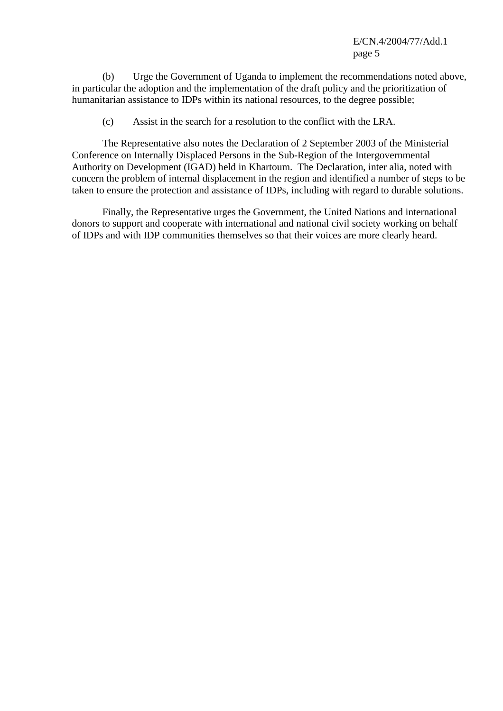(b) Urge the Government of Uganda to implement the recommendations noted above, in particular the adoption and the implementation of the draft policy and the prioritization of humanitarian assistance to IDPs within its national resources, to the degree possible;

(c) Assist in the search for a resolution to the conflict with the LRA.

 The Representative also notes the Declaration of 2 September 2003 of the Ministerial Conference on Internally Displaced Persons in the Sub-Region of the Intergovernmental Authority on Development (IGAD) held in Khartoum. The Declaration, inter alia, noted with concern the problem of internal displacement in the region and identified a number of steps to be taken to ensure the protection and assistance of IDPs, including with regard to durable solutions.

 Finally, the Representative urges the Government, the United Nations and international donors to support and cooperate with international and national civil society working on behalf of IDPs and with IDP communities themselves so that their voices are more clearly heard.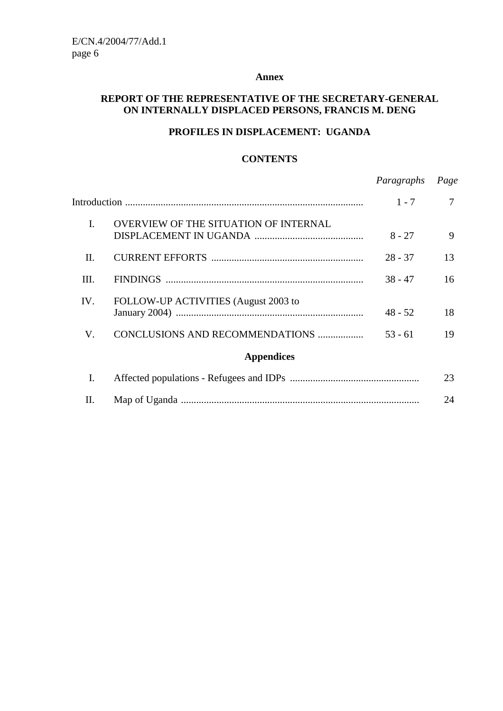#### **Annex**

#### **REPORT OF THE REPRESENTATIVE OF THE SECRETARY-GENERAL ON INTERNALLY DISPLACED PERSONS, FRANCIS M. DENG**

#### **PROFILES IN DISPLACEMENT: UGANDA**

#### **CONTENTS**

|                |                                       | Paragraphs | Page |
|----------------|---------------------------------------|------------|------|
|                |                                       | $1 - 7$    | 7    |
| $\mathbf{I}$ . | OVERVIEW OF THE SITUATION OF INTERNAL | $8 - 27$   | 9    |
| П.             |                                       | $28 - 37$  | 13   |
| III.           |                                       | $38 - 47$  | 16   |
| IV.            | FOLLOW-UP ACTIVITIES (August 2003 to  | $48 - 52$  | 18   |
| V.             | CONCLUSIONS AND RECOMMENDATIONS       | $53 - 61$  | 19   |
|                | <b>Appendices</b>                     |            |      |
| I.             |                                       |            | 23   |
| Н.             |                                       |            | 24   |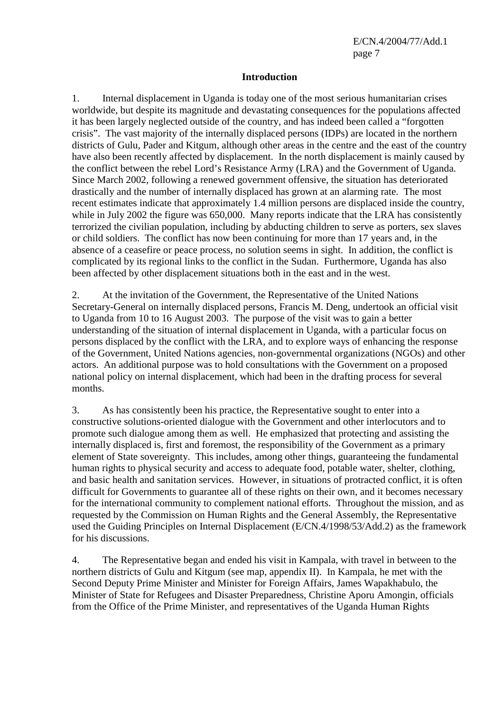#### **Introduction**

1. Internal displacement in Uganda is today one of the most serious humanitarian crises worldwide, but despite its magnitude and devastating consequences for the populations affected it has been largely neglected outside of the country, and has indeed been called a "forgotten crisis". The vast majority of the internally displaced persons (IDPs) are located in the northern districts of Gulu, Pader and Kitgum, although other areas in the centre and the east of the country have also been recently affected by displacement. In the north displacement is mainly caused by the conflict between the rebel Lord's Resistance Army (LRA) and the Government of Uganda. Since March 2002, following a renewed government offensive, the situation has deteriorated drastically and the number of internally displaced has grown at an alarming rate. The most recent estimates indicate that approximately 1.4 million persons are displaced inside the country, while in July 2002 the figure was 650,000. Many reports indicate that the LRA has consistently terrorized the civilian population, including by abducting children to serve as porters, sex slaves or child soldiers. The conflict has now been continuing for more than 17 years and, in the absence of a ceasefire or peace process, no solution seems in sight. In addition, the conflict is complicated by its regional links to the conflict in the Sudan. Furthermore, Uganda has also been affected by other displacement situations both in the east and in the west.

2. At the invitation of the Government, the Representative of the United Nations Secretary-General on internally displaced persons, Francis M. Deng, undertook an official visit to Uganda from 10 to 16 August 2003. The purpose of the visit was to gain a better understanding of the situation of internal displacement in Uganda, with a particular focus on persons displaced by the conflict with the LRA, and to explore ways of enhancing the response of the Government, United Nations agencies, non-governmental organizations (NGOs) and other actors. An additional purpose was to hold consultations with the Government on a proposed national policy on internal displacement, which had been in the drafting process for several months.

3. As has consistently been his practice, the Representative sought to enter into a constructive solutions-oriented dialogue with the Government and other interlocutors and to promote such dialogue among them as well. He emphasized that protecting and assisting the internally displaced is, first and foremost, the responsibility of the Government as a primary element of State sovereignty. This includes, among other things, guaranteeing the fundamental human rights to physical security and access to adequate food, potable water, shelter, clothing, and basic health and sanitation services. However, in situations of protracted conflict, it is often difficult for Governments to guarantee all of these rights on their own, and it becomes necessary for the international community to complement national efforts. Throughout the mission, and as requested by the Commission on Human Rights and the General Assembly, the Representative used the Guiding Principles on Internal Displacement (E/CN.4/1998/53/Add.2) as the framework for his discussions.

4. The Representative began and ended his visit in Kampala, with travel in between to the northern districts of Gulu and Kitgum (see map, appendix II). In Kampala, he met with the Second Deputy Prime Minister and Minister for Foreign Affairs, James Wapakhabulo, the Minister of State for Refugees and Disaster Preparedness, Christine Aporu Amongin, officials from the Office of the Prime Minister, and representatives of the Uganda Human Rights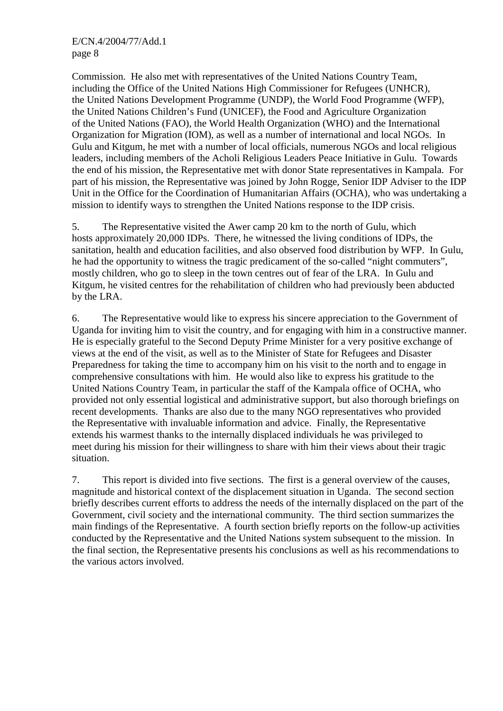Commission. He also met with representatives of the United Nations Country Team, including the Office of the United Nations High Commissioner for Refugees (UNHCR), the United Nations Development Programme (UNDP), the World Food Programme (WFP), the United Nations Children's Fund (UNICEF), the Food and Agriculture Organization of the United Nations (FAO), the World Health Organization (WHO) and the International Organization for Migration (IOM), as well as a number of international and local NGOs. In Gulu and Kitgum, he met with a number of local officials, numerous NGOs and local religious leaders, including members of the Acholi Religious Leaders Peace Initiative in Gulu. Towards the end of his mission, the Representative met with donor State representatives in Kampala. For part of his mission, the Representative was joined by John Rogge, Senior IDP Adviser to the IDP Unit in the Office for the Coordination of Humanitarian Affairs (OCHA), who was undertaking a mission to identify ways to strengthen the United Nations response to the IDP crisis.

5. The Representative visited the Awer camp 20 km to the north of Gulu, which hosts approximately 20,000 IDPs. There, he witnessed the living conditions of IDPs, the sanitation, health and education facilities, and also observed food distribution by WFP. In Gulu, he had the opportunity to witness the tragic predicament of the so-called "night commuters", mostly children, who go to sleep in the town centres out of fear of the LRA. In Gulu and Kitgum, he visited centres for the rehabilitation of children who had previously been abducted by the LRA.

6. The Representative would like to express his sincere appreciation to the Government of Uganda for inviting him to visit the country, and for engaging with him in a constructive manner. He is especially grateful to the Second Deputy Prime Minister for a very positive exchange of views at the end of the visit, as well as to the Minister of State for Refugees and Disaster Preparedness for taking the time to accompany him on his visit to the north and to engage in comprehensive consultations with him. He would also like to express his gratitude to the United Nations Country Team, in particular the staff of the Kampala office of OCHA, who provided not only essential logistical and administrative support, but also thorough briefings on recent developments. Thanks are also due to the many NGO representatives who provided the Representative with invaluable information and advice. Finally, the Representative extends his warmest thanks to the internally displaced individuals he was privileged to meet during his mission for their willingness to share with him their views about their tragic situation.

7. This report is divided into five sections. The first is a general overview of the causes, magnitude and historical context of the displacement situation in Uganda. The second section briefly describes current efforts to address the needs of the internally displaced on the part of the Government, civil society and the international community. The third section summarizes the main findings of the Representative. A fourth section briefly reports on the follow-up activities conducted by the Representative and the United Nations system subsequent to the mission. In the final section, the Representative presents his conclusions as well as his recommendations to the various actors involved.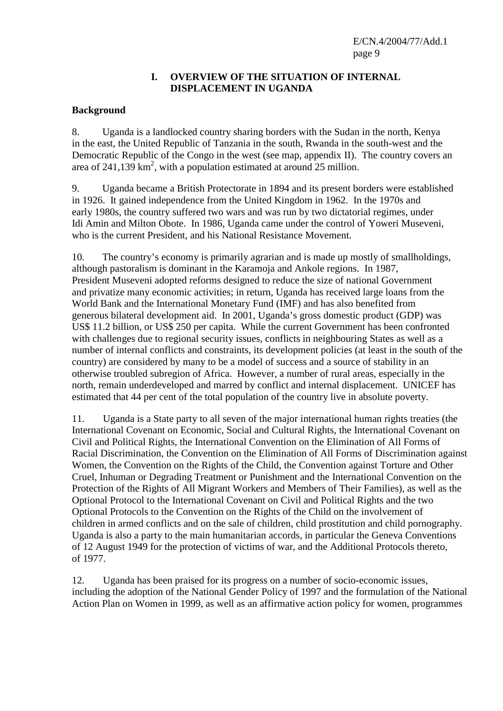#### **I. OVERVIEW OF THE SITUATION OF INTERNAL DISPLACEMENT IN UGANDA**

#### **Background**

8. Uganda is a landlocked country sharing borders with the Sudan in the north, Kenya in the east, the United Republic of Tanzania in the south, Rwanda in the south-west and the Democratic Republic of the Congo in the west (see map, appendix II). The country covers an area of 241,139  $\text{km}^2$ , with a population estimated at around 25 million.

9. Uganda became a British Protectorate in 1894 and its present borders were established in 1926. It gained independence from the United Kingdom in 1962. In the 1970s and early 1980s, the country suffered two wars and was run by two dictatorial regimes, under Idi Amin and Milton Obote. In 1986, Uganda came under the control of Yoweri Museveni, who is the current President, and his National Resistance Movement.

10. The country's economy is primarily agrarian and is made up mostly of smallholdings, although pastoralism is dominant in the Karamoja and Ankole regions. In 1987, President Museveni adopted reforms designed to reduce the size of national Government and privatize many economic activities; in return, Uganda has received large loans from the World Bank and the International Monetary Fund (IMF) and has also benefited from generous bilateral development aid. In 2001, Uganda's gross domestic product (GDP) was US\$ 11.2 billion, or US\$ 250 per capita. While the current Government has been confronted with challenges due to regional security issues, conflicts in neighbouring States as well as a number of internal conflicts and constraints, its development policies (at least in the south of the country) are considered by many to be a model of success and a source of stability in an otherwise troubled subregion of Africa. However, a number of rural areas, especially in the north, remain underdeveloped and marred by conflict and internal displacement. UNICEF has estimated that 44 per cent of the total population of the country live in absolute poverty.

11. Uganda is a State party to all seven of the major international human rights treaties (the International Covenant on Economic, Social and Cultural Rights, the International Covenant on Civil and Political Rights, the International Convention on the Elimination of All Forms of Racial Discrimination, the Convention on the Elimination of All Forms of Discrimination against Women, the Convention on the Rights of the Child, the Convention against Torture and Other Cruel, Inhuman or Degrading Treatment or Punishment and the International Convention on the Protection of the Rights of All Migrant Workers and Members of Their Families), as well as the Optional Protocol to the International Covenant on Civil and Political Rights and the two Optional Protocols to the Convention on the Rights of the Child on the involvement of children in armed conflicts and on the sale of children, child prostitution and child pornography. Uganda is also a party to the main humanitarian accords, in particular the Geneva Conventions of 12 August 1949 for the protection of victims of war, and the Additional Protocols thereto, of 1977.

12. Uganda has been praised for its progress on a number of socio-economic issues, including the adoption of the National Gender Policy of 1997 and the formulation of the National Action Plan on Women in 1999, as well as an affirmative action policy for women, programmes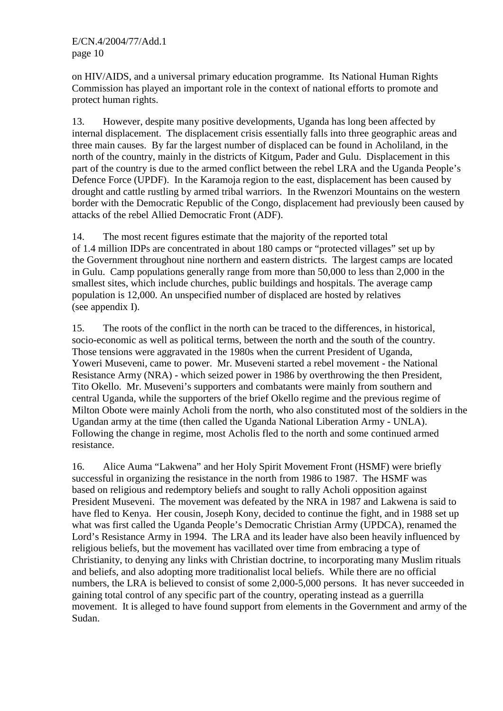on HIV/AIDS, and a universal primary education programme. Its National Human Rights Commission has played an important role in the context of national efforts to promote and protect human rights.

13. However, despite many positive developments, Uganda has long been affected by internal displacement. The displacement crisis essentially falls into three geographic areas and three main causes. By far the largest number of displaced can be found in Acholiland, in the north of the country, mainly in the districts of Kitgum, Pader and Gulu. Displacement in this part of the country is due to the armed conflict between the rebel LRA and the Uganda People's Defence Force (UPDF). In the Karamoja region to the east, displacement has been caused by drought and cattle rustling by armed tribal warriors. In the Rwenzori Mountains on the western border with the Democratic Republic of the Congo, displacement had previously been caused by attacks of the rebel Allied Democratic Front (ADF).

14. The most recent figures estimate that the majority of the reported total of 1.4 million IDPs are concentrated in about 180 camps or "protected villages" set up by the Government throughout nine northern and eastern districts. The largest camps are located in Gulu. Camp populations generally range from more than 50,000 to less than 2,000 in the smallest sites, which include churches, public buildings and hospitals. The average camp population is 12,000. An unspecified number of displaced are hosted by relatives (see appendix I).

15. The roots of the conflict in the north can be traced to the differences, in historical, socio-economic as well as political terms, between the north and the south of the country. Those tensions were aggravated in the 1980s when the current President of Uganda, Yoweri Museveni, came to power. Mr. Museveni started a rebel movement - the National Resistance Army (NRA) - which seized power in 1986 by overthrowing the then President, Tito Okello. Mr. Museveni's supporters and combatants were mainly from southern and central Uganda, while the supporters of the brief Okello regime and the previous regime of Milton Obote were mainly Acholi from the north, who also constituted most of the soldiers in the Ugandan army at the time (then called the Uganda National Liberation Army - UNLA). Following the change in regime, most Acholis fled to the north and some continued armed resistance.

16. Alice Auma "Lakwena" and her Holy Spirit Movement Front (HSMF) were briefly successful in organizing the resistance in the north from 1986 to 1987. The HSMF was based on religious and redemptory beliefs and sought to rally Acholi opposition against President Museveni. The movement was defeated by the NRA in 1987 and Lakwena is said to have fled to Kenya. Her cousin, Joseph Kony, decided to continue the fight, and in 1988 set up what was first called the Uganda People's Democratic Christian Army (UPDCA), renamed the Lord's Resistance Army in 1994. The LRA and its leader have also been heavily influenced by religious beliefs, but the movement has vacillated over time from embracing a type of Christianity, to denying any links with Christian doctrine, to incorporating many Muslim rituals and beliefs, and also adopting more traditionalist local beliefs. While there are no official numbers, the LRA is believed to consist of some 2,000-5,000 persons. It has never succeeded in gaining total control of any specific part of the country, operating instead as a guerrilla movement. It is alleged to have found support from elements in the Government and army of the Sudan.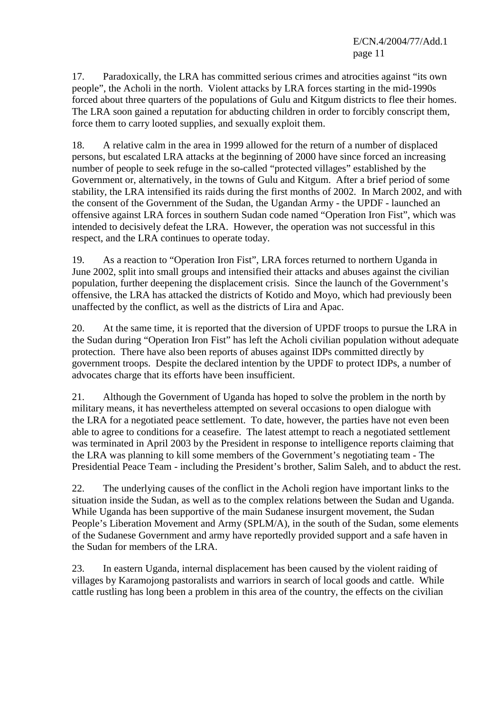17. Paradoxically, the LRA has committed serious crimes and atrocities against "its own people", the Acholi in the north. Violent attacks by LRA forces starting in the mid-1990s forced about three quarters of the populations of Gulu and Kitgum districts to flee their homes. The LRA soon gained a reputation for abducting children in order to forcibly conscript them, force them to carry looted supplies, and sexually exploit them.

18. A relative calm in the area in 1999 allowed for the return of a number of displaced persons, but escalated LRA attacks at the beginning of 2000 have since forced an increasing number of people to seek refuge in the so-called "protected villages" established by the Government or, alternatively, in the towns of Gulu and Kitgum. After a brief period of some stability, the LRA intensified its raids during the first months of 2002. In March 2002, and with the consent of the Government of the Sudan, the Ugandan Army - the UPDF - launched an offensive against LRA forces in southern Sudan code named "Operation Iron Fist", which was intended to decisively defeat the LRA. However, the operation was not successful in this respect, and the LRA continues to operate today.

19. As a reaction to "Operation Iron Fist", LRA forces returned to northern Uganda in June 2002, split into small groups and intensified their attacks and abuses against the civilian population, further deepening the displacement crisis. Since the launch of the Government's offensive, the LRA has attacked the districts of Kotido and Moyo, which had previously been unaffected by the conflict, as well as the districts of Lira and Apac.

20. At the same time, it is reported that the diversion of UPDF troops to pursue the LRA in the Sudan during "Operation Iron Fist" has left the Acholi civilian population without adequate protection. There have also been reports of abuses against IDPs committed directly by government troops. Despite the declared intention by the UPDF to protect IDPs, a number of advocates charge that its efforts have been insufficient.

21. Although the Government of Uganda has hoped to solve the problem in the north by military means, it has nevertheless attempted on several occasions to open dialogue with the LRA for a negotiated peace settlement. To date, however, the parties have not even been able to agree to conditions for a ceasefire. The latest attempt to reach a negotiated settlement was terminated in April 2003 by the President in response to intelligence reports claiming that the LRA was planning to kill some members of the Government's negotiating team - The Presidential Peace Team - including the President's brother, Salim Saleh, and to abduct the rest.

22. The underlying causes of the conflict in the Acholi region have important links to the situation inside the Sudan, as well as to the complex relations between the Sudan and Uganda. While Uganda has been supportive of the main Sudanese insurgent movement, the Sudan People's Liberation Movement and Army (SPLM/A), in the south of the Sudan, some elements of the Sudanese Government and army have reportedly provided support and a safe haven in the Sudan for members of the LRA.

23. In eastern Uganda, internal displacement has been caused by the violent raiding of villages by Karamojong pastoralists and warriors in search of local goods and cattle. While cattle rustling has long been a problem in this area of the country, the effects on the civilian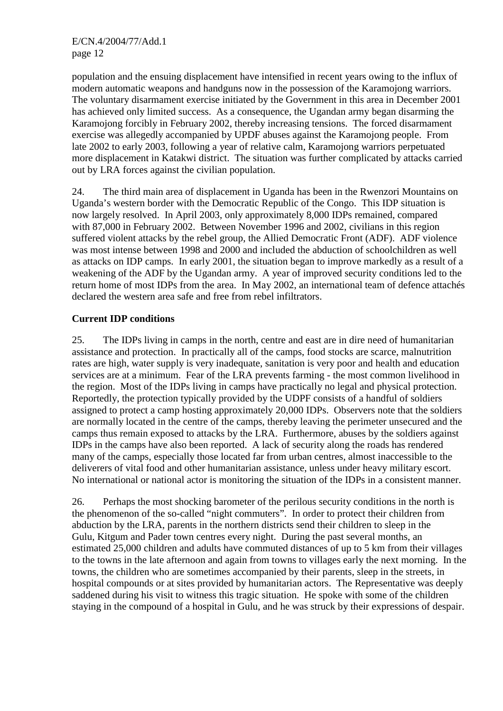population and the ensuing displacement have intensified in recent years owing to the influx of modern automatic weapons and handguns now in the possession of the Karamojong warriors. The voluntary disarmament exercise initiated by the Government in this area in December 2001 has achieved only limited success. As a consequence, the Ugandan army began disarming the Karamojong forcibly in February 2002, thereby increasing tensions. The forced disarmament exercise was allegedly accompanied by UPDF abuses against the Karamojong people. From late 2002 to early 2003, following a year of relative calm, Karamojong warriors perpetuated more displacement in Katakwi district. The situation was further complicated by attacks carried out by LRA forces against the civilian population.

24. The third main area of displacement in Uganda has been in the Rwenzori Mountains on Uganda's western border with the Democratic Republic of the Congo. This IDP situation is now largely resolved. In April 2003, only approximately 8,000 IDPs remained, compared with 87,000 in February 2002. Between November 1996 and 2002, civilians in this region suffered violent attacks by the rebel group, the Allied Democratic Front (ADF). ADF violence was most intense between 1998 and 2000 and included the abduction of schoolchildren as well as attacks on IDP camps. In early 2001, the situation began to improve markedly as a result of a weakening of the ADF by the Ugandan army. A year of improved security conditions led to the return home of most IDPs from the area. In May 2002, an international team of defence attachés declared the western area safe and free from rebel infiltrators.

## **Current IDP conditions**

25. The IDPs living in camps in the north, centre and east are in dire need of humanitarian assistance and protection. In practically all of the camps, food stocks are scarce, malnutrition rates are high, water supply is very inadequate, sanitation is very poor and health and education services are at a minimum. Fear of the LRA prevents farming - the most common livelihood in the region. Most of the IDPs living in camps have practically no legal and physical protection. Reportedly, the protection typically provided by the UDPF consists of a handful of soldiers assigned to protect a camp hosting approximately 20,000 IDPs. Observers note that the soldiers are normally located in the centre of the camps, thereby leaving the perimeter unsecured and the camps thus remain exposed to attacks by the LRA. Furthermore, abuses by the soldiers against IDPs in the camps have also been reported. A lack of security along the roads has rendered many of the camps, especially those located far from urban centres, almost inaccessible to the deliverers of vital food and other humanitarian assistance, unless under heavy military escort. No international or national actor is monitoring the situation of the IDPs in a consistent manner.

26. Perhaps the most shocking barometer of the perilous security conditions in the north is the phenomenon of the so-called "night commuters". In order to protect their children from abduction by the LRA, parents in the northern districts send their children to sleep in the Gulu, Kitgum and Pader town centres every night. During the past several months, an estimated 25,000 children and adults have commuted distances of up to 5 km from their villages to the towns in the late afternoon and again from towns to villages early the next morning. In the towns, the children who are sometimes accompanied by their parents, sleep in the streets, in hospital compounds or at sites provided by humanitarian actors. The Representative was deeply saddened during his visit to witness this tragic situation. He spoke with some of the children staying in the compound of a hospital in Gulu, and he was struck by their expressions of despair.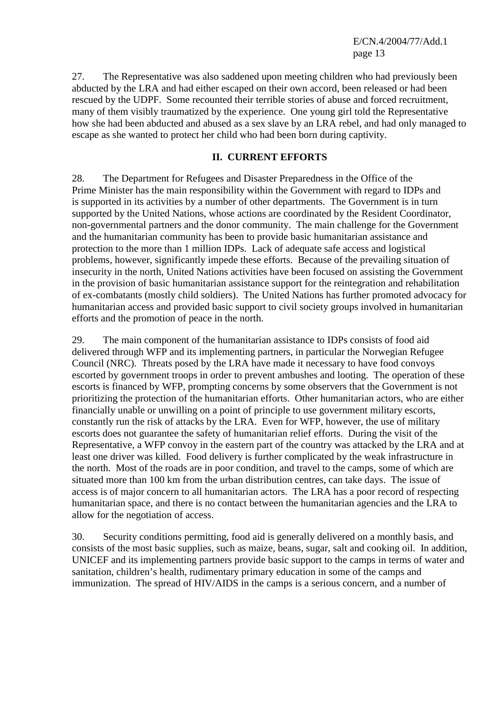27. The Representative was also saddened upon meeting children who had previously been abducted by the LRA and had either escaped on their own accord, been released or had been rescued by the UDPF. Some recounted their terrible stories of abuse and forced recruitment, many of them visibly traumatized by the experience. One young girl told the Representative how she had been abducted and abused as a sex slave by an LRA rebel, and had only managed to escape as she wanted to protect her child who had been born during captivity.

#### **II. CURRENT EFFORTS**

28. The Department for Refugees and Disaster Preparedness in the Office of the Prime Minister has the main responsibility within the Government with regard to IDPs and is supported in its activities by a number of other departments. The Government is in turn supported by the United Nations, whose actions are coordinated by the Resident Coordinator, non-governmental partners and the donor community. The main challenge for the Government and the humanitarian community has been to provide basic humanitarian assistance and protection to the more than 1 million IDPs. Lack of adequate safe access and logistical problems, however, significantly impede these efforts. Because of the prevailing situation of insecurity in the north, United Nations activities have been focused on assisting the Government in the provision of basic humanitarian assistance support for the reintegration and rehabilitation of ex-combatants (mostly child soldiers). The United Nations has further promoted advocacy for humanitarian access and provided basic support to civil society groups involved in humanitarian efforts and the promotion of peace in the north.

29. The main component of the humanitarian assistance to IDPs consists of food aid delivered through WFP and its implementing partners, in particular the Norwegian Refugee Council (NRC). Threats posed by the LRA have made it necessary to have food convoys escorted by government troops in order to prevent ambushes and looting. The operation of these escorts is financed by WFP, prompting concerns by some observers that the Government is not prioritizing the protection of the humanitarian efforts. Other humanitarian actors, who are either financially unable or unwilling on a point of principle to use government military escorts, constantly run the risk of attacks by the LRA. Even for WFP, however, the use of military escorts does not guarantee the safety of humanitarian relief efforts. During the visit of the Representative, a WFP convoy in the eastern part of the country was attacked by the LRA and at least one driver was killed. Food delivery is further complicated by the weak infrastructure in the north. Most of the roads are in poor condition, and travel to the camps, some of which are situated more than 100 km from the urban distribution centres, can take days. The issue of access is of major concern to all humanitarian actors. The LRA has a poor record of respecting humanitarian space, and there is no contact between the humanitarian agencies and the LRA to allow for the negotiation of access.

30. Security conditions permitting, food aid is generally delivered on a monthly basis, and consists of the most basic supplies, such as maize, beans, sugar, salt and cooking oil. In addition, UNICEF and its implementing partners provide basic support to the camps in terms of water and sanitation, children's health, rudimentary primary education in some of the camps and immunization. The spread of HIV/AIDS in the camps is a serious concern, and a number of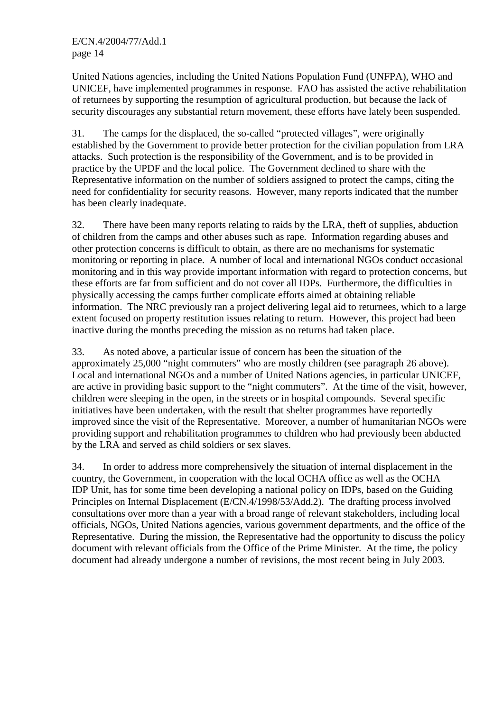United Nations agencies, including the United Nations Population Fund (UNFPA), WHO and UNICEF, have implemented programmes in response. FAO has assisted the active rehabilitation of returnees by supporting the resumption of agricultural production, but because the lack of security discourages any substantial return movement, these efforts have lately been suspended.

31. The camps for the displaced, the so-called "protected villages", were originally established by the Government to provide better protection for the civilian population from LRA attacks. Such protection is the responsibility of the Government, and is to be provided in practice by the UPDF and the local police. The Government declined to share with the Representative information on the number of soldiers assigned to protect the camps, citing the need for confidentiality for security reasons. However, many reports indicated that the number has been clearly inadequate.

32. There have been many reports relating to raids by the LRA, theft of supplies, abduction of children from the camps and other abuses such as rape. Information regarding abuses and other protection concerns is difficult to obtain, as there are no mechanisms for systematic monitoring or reporting in place. A number of local and international NGOs conduct occasional monitoring and in this way provide important information with regard to protection concerns, but these efforts are far from sufficient and do not cover all IDPs. Furthermore, the difficulties in physically accessing the camps further complicate efforts aimed at obtaining reliable information. The NRC previously ran a project delivering legal aid to returnees, which to a large extent focused on property restitution issues relating to return. However, this project had been inactive during the months preceding the mission as no returns had taken place.

33. As noted above, a particular issue of concern has been the situation of the approximately 25,000 "night commuters" who are mostly children (see paragraph 26 above). Local and international NGOs and a number of United Nations agencies, in particular UNICEF, are active in providing basic support to the "night commuters". At the time of the visit, however, children were sleeping in the open, in the streets or in hospital compounds. Several specific initiatives have been undertaken, with the result that shelter programmes have reportedly improved since the visit of the Representative. Moreover, a number of humanitarian NGOs were providing support and rehabilitation programmes to children who had previously been abducted by the LRA and served as child soldiers or sex slaves.

34. In order to address more comprehensively the situation of internal displacement in the country, the Government, in cooperation with the local OCHA office as well as the OCHA IDP Unit, has for some time been developing a national policy on IDPs, based on the Guiding Principles on Internal Displacement (E/CN.4/1998/53/Add.2). The drafting process involved consultations over more than a year with a broad range of relevant stakeholders, including local officials, NGOs, United Nations agencies, various government departments, and the office of the Representative. During the mission, the Representative had the opportunity to discuss the policy document with relevant officials from the Office of the Prime Minister. At the time, the policy document had already undergone a number of revisions, the most recent being in July 2003.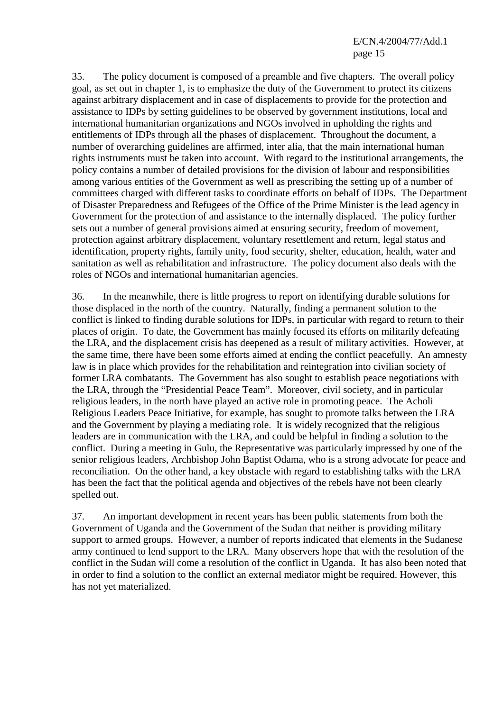35. The policy document is composed of a preamble and five chapters. The overall policy goal, as set out in chapter 1, is to emphasize the duty of the Government to protect its citizens against arbitrary displacement and in case of displacements to provide for the protection and assistance to IDPs by setting guidelines to be observed by government institutions, local and international humanitarian organizations and NGOs involved in upholding the rights and entitlements of IDPs through all the phases of displacement. Throughout the document, a number of overarching guidelines are affirmed, inter alia, that the main international human rights instruments must be taken into account. With regard to the institutional arrangements, the policy contains a number of detailed provisions for the division of labour and responsibilities among various entities of the Government as well as prescribing the setting up of a number of committees charged with different tasks to coordinate efforts on behalf of IDPs. The Department of Disaster Preparedness and Refugees of the Office of the Prime Minister is the lead agency in Government for the protection of and assistance to the internally displaced. The policy further sets out a number of general provisions aimed at ensuring security, freedom of movement, protection against arbitrary displacement, voluntary resettlement and return, legal status and identification, property rights, family unity, food security, shelter, education, health, water and sanitation as well as rehabilitation and infrastructure. The policy document also deals with the roles of NGOs and international humanitarian agencies.

36. In the meanwhile, there is little progress to report on identifying durable solutions for those displaced in the north of the country. Naturally, finding a permanent solution to the conflict is linked to finding durable solutions for IDPs, in particular with regard to return to their places of origin. To date, the Government has mainly focused its efforts on militarily defeating the LRA, and the displacement crisis has deepened as a result of military activities. However, at the same time, there have been some efforts aimed at ending the conflict peacefully. An amnesty law is in place which provides for the rehabilitation and reintegration into civilian society of former LRA combatants. The Government has also sought to establish peace negotiations with the LRA, through the "Presidential Peace Team". Moreover, civil society, and in particular religious leaders, in the north have played an active role in promoting peace. The Acholi Religious Leaders Peace Initiative, for example, has sought to promote talks between the LRA and the Government by playing a mediating role. It is widely recognized that the religious leaders are in communication with the LRA, and could be helpful in finding a solution to the conflict. During a meeting in Gulu, the Representative was particularly impressed by one of the senior religious leaders, Archbishop John Baptist Odama, who is a strong advocate for peace and reconciliation. On the other hand, a key obstacle with regard to establishing talks with the LRA has been the fact that the political agenda and objectives of the rebels have not been clearly spelled out.

37. An important development in recent years has been public statements from both the Government of Uganda and the Government of the Sudan that neither is providing military support to armed groups. However, a number of reports indicated that elements in the Sudanese army continued to lend support to the LRA. Many observers hope that with the resolution of the conflict in the Sudan will come a resolution of the conflict in Uganda. It has also been noted that in order to find a solution to the conflict an external mediator might be required. However, this has not yet materialized.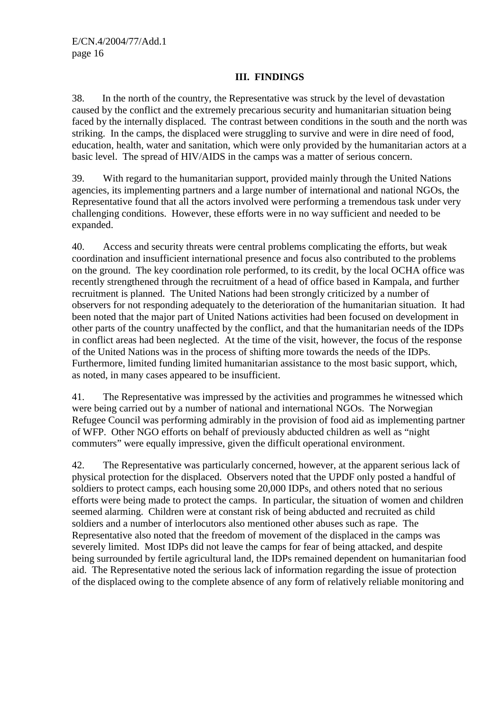#### **III. FINDINGS**

38. In the north of the country, the Representative was struck by the level of devastation caused by the conflict and the extremely precarious security and humanitarian situation being faced by the internally displaced. The contrast between conditions in the south and the north was striking. In the camps, the displaced were struggling to survive and were in dire need of food, education, health, water and sanitation, which were only provided by the humanitarian actors at a basic level. The spread of HIV/AIDS in the camps was a matter of serious concern.

39. With regard to the humanitarian support, provided mainly through the United Nations agencies, its implementing partners and a large number of international and national NGOs, the Representative found that all the actors involved were performing a tremendous task under very challenging conditions. However, these efforts were in no way sufficient and needed to be expanded.

40. Access and security threats were central problems complicating the efforts, but weak coordination and insufficient international presence and focus also contributed to the problems on the ground. The key coordination role performed, to its credit, by the local OCHA office was recently strengthened through the recruitment of a head of office based in Kampala, and further recruitment is planned. The United Nations had been strongly criticized by a number of observers for not responding adequately to the deterioration of the humanitarian situation. It had been noted that the major part of United Nations activities had been focused on development in other parts of the country unaffected by the conflict, and that the humanitarian needs of the IDPs in conflict areas had been neglected. At the time of the visit, however, the focus of the response of the United Nations was in the process of shifting more towards the needs of the IDPs. Furthermore, limited funding limited humanitarian assistance to the most basic support, which, as noted, in many cases appeared to be insufficient.

41. The Representative was impressed by the activities and programmes he witnessed which were being carried out by a number of national and international NGOs. The Norwegian Refugee Council was performing admirably in the provision of food aid as implementing partner of WFP. Other NGO efforts on behalf of previously abducted children as well as "night commuters" were equally impressive, given the difficult operational environment.

42. The Representative was particularly concerned, however, at the apparent serious lack of physical protection for the displaced. Observers noted that the UPDF only posted a handful of soldiers to protect camps, each housing some 20,000 IDPs, and others noted that no serious efforts were being made to protect the camps. In particular, the situation of women and children seemed alarming. Children were at constant risk of being abducted and recruited as child soldiers and a number of interlocutors also mentioned other abuses such as rape. The Representative also noted that the freedom of movement of the displaced in the camps was severely limited. Most IDPs did not leave the camps for fear of being attacked, and despite being surrounded by fertile agricultural land, the IDPs remained dependent on humanitarian food aid. The Representative noted the serious lack of information regarding the issue of protection of the displaced owing to the complete absence of any form of relatively reliable monitoring and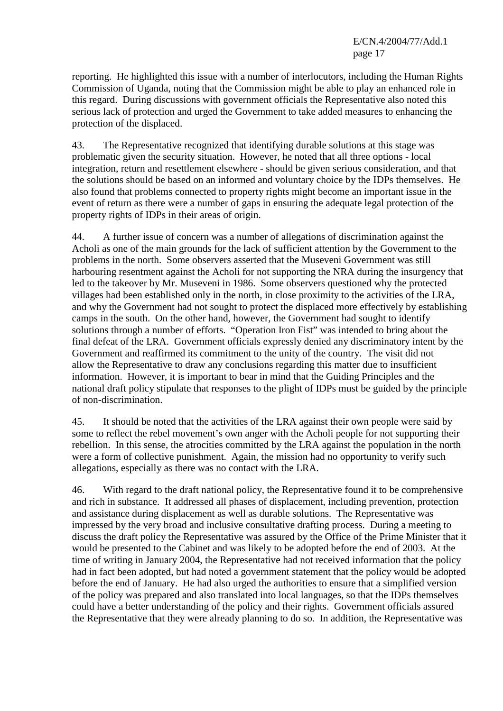reporting. He highlighted this issue with a number of interlocutors, including the Human Rights Commission of Uganda, noting that the Commission might be able to play an enhanced role in this regard. During discussions with government officials the Representative also noted this serious lack of protection and urged the Government to take added measures to enhancing the protection of the displaced.

43. The Representative recognized that identifying durable solutions at this stage was problematic given the security situation. However, he noted that all three options - local integration, return and resettlement elsewhere - should be given serious consideration, and that the solutions should be based on an informed and voluntary choice by the IDPs themselves. He also found that problems connected to property rights might become an important issue in the event of return as there were a number of gaps in ensuring the adequate legal protection of the property rights of IDPs in their areas of origin.

44. A further issue of concern was a number of allegations of discrimination against the Acholi as one of the main grounds for the lack of sufficient attention by the Government to the problems in the north. Some observers asserted that the Museveni Government was still harbouring resentment against the Acholi for not supporting the NRA during the insurgency that led to the takeover by Mr. Museveni in 1986. Some observers questioned why the protected villages had been established only in the north, in close proximity to the activities of the LRA, and why the Government had not sought to protect the displaced more effectively by establishing camps in the south. On the other hand, however, the Government had sought to identify solutions through a number of efforts. "Operation Iron Fist" was intended to bring about the final defeat of the LRA. Government officials expressly denied any discriminatory intent by the Government and reaffirmed its commitment to the unity of the country. The visit did not allow the Representative to draw any conclusions regarding this matter due to insufficient information. However, it is important to bear in mind that the Guiding Principles and the national draft policy stipulate that responses to the plight of IDPs must be guided by the principle of non-discrimination.

45. It should be noted that the activities of the LRA against their own people were said by some to reflect the rebel movement's own anger with the Acholi people for not supporting their rebellion. In this sense, the atrocities committed by the LRA against the population in the north were a form of collective punishment. Again, the mission had no opportunity to verify such allegations, especially as there was no contact with the LRA.

46. With regard to the draft national policy, the Representative found it to be comprehensive and rich in substance. It addressed all phases of displacement, including prevention, protection and assistance during displacement as well as durable solutions. The Representative was impressed by the very broad and inclusive consultative drafting process. During a meeting to discuss the draft policy the Representative was assured by the Office of the Prime Minister that it would be presented to the Cabinet and was likely to be adopted before the end of 2003. At the time of writing in January 2004, the Representative had not received information that the policy had in fact been adopted, but had noted a government statement that the policy would be adopted before the end of January. He had also urged the authorities to ensure that a simplified version of the policy was prepared and also translated into local languages, so that the IDPs themselves could have a better understanding of the policy and their rights. Government officials assured the Representative that they were already planning to do so. In addition, the Representative was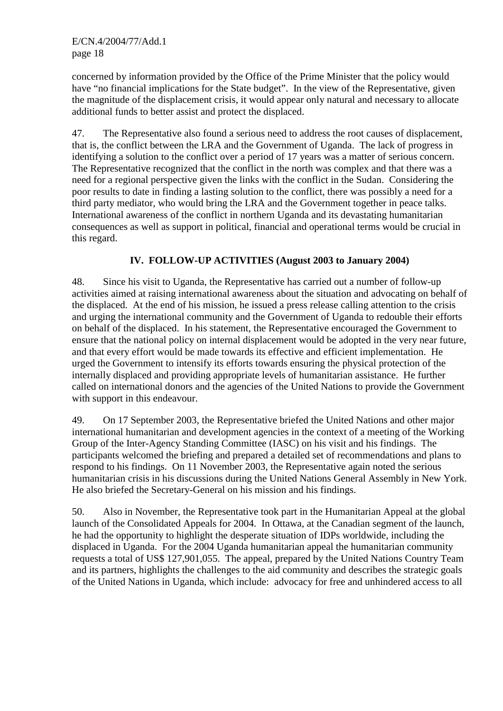concerned by information provided by the Office of the Prime Minister that the policy would have "no financial implications for the State budget". In the view of the Representative, given the magnitude of the displacement crisis, it would appear only natural and necessary to allocate additional funds to better assist and protect the displaced.

47. The Representative also found a serious need to address the root causes of displacement, that is, the conflict between the LRA and the Government of Uganda. The lack of progress in identifying a solution to the conflict over a period of 17 years was a matter of serious concern. The Representative recognized that the conflict in the north was complex and that there was a need for a regional perspective given the links with the conflict in the Sudan. Considering the poor results to date in finding a lasting solution to the conflict, there was possibly a need for a third party mediator, who would bring the LRA and the Government together in peace talks. International awareness of the conflict in northern Uganda and its devastating humanitarian consequences as well as support in political, financial and operational terms would be crucial in this regard.

## **IV. FOLLOW-UP ACTIVITIES (August 2003 to January 2004)**

48. Since his visit to Uganda, the Representative has carried out a number of follow-up activities aimed at raising international awareness about the situation and advocating on behalf of the displaced. At the end of his mission, he issued a press release calling attention to the crisis and urging the international community and the Government of Uganda to redouble their efforts on behalf of the displaced. In his statement, the Representative encouraged the Government to ensure that the national policy on internal displacement would be adopted in the very near future, and that every effort would be made towards its effective and efficient implementation. He urged the Government to intensify its efforts towards ensuring the physical protection of the internally displaced and providing appropriate levels of humanitarian assistance. He further called on international donors and the agencies of the United Nations to provide the Government with support in this endeavour.

49. On 17 September 2003, the Representative briefed the United Nations and other major international humanitarian and development agencies in the context of a meeting of the Working Group of the Inter-Agency Standing Committee (IASC) on his visit and his findings. The participants welcomed the briefing and prepared a detailed set of recommendations and plans to respond to his findings. On 11 November 2003, the Representative again noted the serious humanitarian crisis in his discussions during the United Nations General Assembly in New York. He also briefed the Secretary-General on his mission and his findings.

50. Also in November, the Representative took part in the Humanitarian Appeal at the global launch of the Consolidated Appeals for 2004. In Ottawa, at the Canadian segment of the launch, he had the opportunity to highlight the desperate situation of IDPs worldwide, including the displaced in Uganda. For the 2004 Uganda humanitarian appeal the humanitarian community requests a total of US\$ 127,901,055. The appeal, prepared by the United Nations Country Team and its partners, highlights the challenges to the aid community and describes the strategic goals of the United Nations in Uganda, which include: advocacy for free and unhindered access to all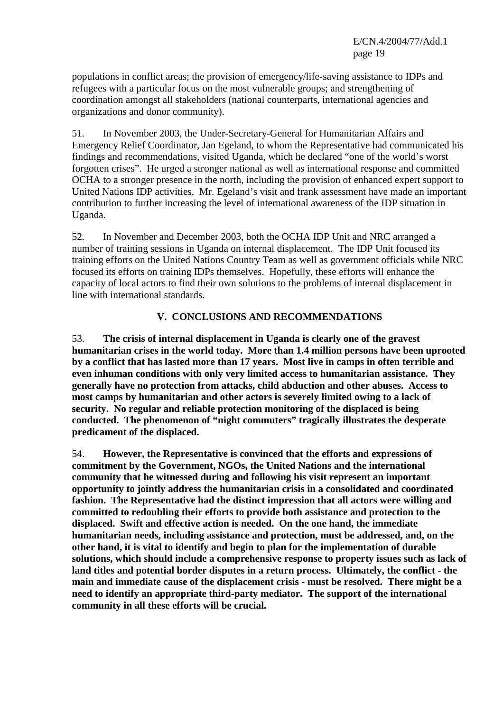populations in conflict areas; the provision of emergency/life-saving assistance to IDPs and refugees with a particular focus on the most vulnerable groups; and strengthening of coordination amongst all stakeholders (national counterparts, international agencies and organizations and donor community).

51. In November 2003, the Under-Secretary-General for Humanitarian Affairs and Emergency Relief Coordinator, Jan Egeland, to whom the Representative had communicated his findings and recommendations, visited Uganda, which he declared "one of the world's worst forgotten crises". He urged a stronger national as well as international response and committed OCHA to a stronger presence in the north, including the provision of enhanced expert support to United Nations IDP activities. Mr. Egeland's visit and frank assessment have made an important contribution to further increasing the level of international awareness of the IDP situation in Uganda.

52. In November and December 2003, both the OCHA IDP Unit and NRC arranged a number of training sessions in Uganda on internal displacement. The IDP Unit focused its training efforts on the United Nations Country Team as well as government officials while NRC focused its efforts on training IDPs themselves. Hopefully, these efforts will enhance the capacity of local actors to find their own solutions to the problems of internal displacement in line with international standards.

## **V. CONCLUSIONS AND RECOMMENDATIONS**

53. **The crisis of internal displacement in Uganda is clearly one of the gravest humanitarian crises in the world today. More than 1.4 million persons have been uprooted by a conflict that has lasted more than 17 years. Most live in camps in often terrible and even inhuman conditions with only very limited access to humanitarian assistance. They generally have no protection from attacks, child abduction and other abuses. Access to most camps by humanitarian and other actors is severely limited owing to a lack of security. No regular and reliable protection monitoring of the displaced is being conducted. The phenomenon of "night commuters" tragically illustrates the desperate predicament of the displaced.** 

54. **However, the Representative is convinced that the efforts and expressions of commitment by the Government, NGOs, the United Nations and the international community that he witnessed during and following his visit represent an important opportunity to jointly address the humanitarian crisis in a consolidated and coordinated fashion. The Representative had the distinct impression that all actors were willing and committed to redoubling their efforts to provide both assistance and protection to the displaced. Swift and effective action is needed. On the one hand, the immediate humanitarian needs, including assistance and protection, must be addressed, and, on the other hand, it is vital to identify and begin to plan for the implementation of durable solutions, which should include a comprehensive response to property issues such as lack of land titles and potential border disputes in a return process. Ultimately, the conflict - the main and immediate cause of the displacement crisis - must be resolved. There might be a need to identify an appropriate third-party mediator. The support of the international community in all these efforts will be crucial.**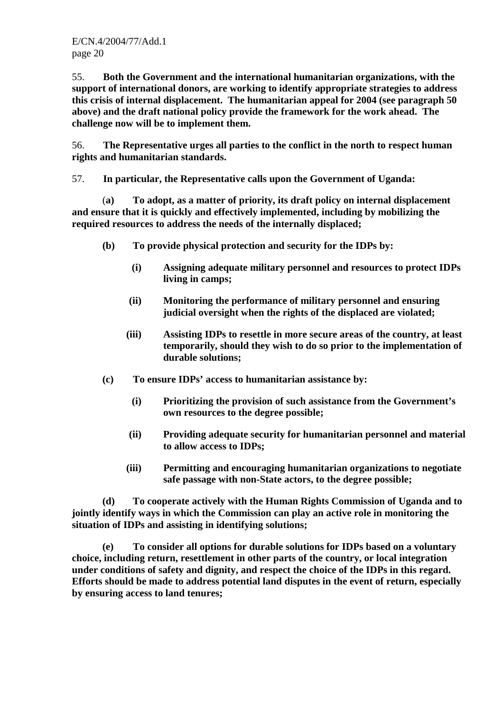55. **Both the Government and the international humanitarian organizations, with the support of international donors, are working to identify appropriate strategies to address this crisis of internal displacement. The humanitarian appeal for 2004 (see paragraph 50 above) and the draft national policy provide the framework for the work ahead. The challenge now will be to implement them.**

56. **The Representative urges all parties to the conflict in the north to respect human rights and humanitarian standards.** 

57. **In particular, the Representative calls upon the Government of Uganda:**

 (**a) To adopt, as a matter of priority, its draft policy on internal displacement and ensure that it is quickly and effectively implemented, including by mobilizing the required resources to address the needs of the internally displaced;** 

- **(b) To provide physical protection and security for the IDPs by:** 
	- **(i) Assigning adequate military personnel and resources to protect IDPs living in camps;**
	- **(ii) Monitoring the performance of military personnel and ensuring judicial oversight when the rights of the displaced are violated;**
	- **(iii) Assisting IDPs to resettle in more secure areas of the country, at least temporarily, should they wish to do so prior to the implementation of durable solutions;**
- **(c) To ensure IDPs' access to humanitarian assistance by:** 
	- **(i) Prioritizing the provision of such assistance from the Government's own resources to the degree possible;**
	- **(ii) Providing adequate security for humanitarian personnel and material to allow access to IDPs;**
	- **(iii) Permitting and encouraging humanitarian organizations to negotiate safe passage with non-State actors, to the degree possible;**

 **(d) To cooperate actively with the Human Rights Commission of Uganda and to jointly identify ways in which the Commission can play an active role in monitoring the situation of IDPs and assisting in identifying solutions;** 

 **(e) To consider all options for durable solutions for IDPs based on a voluntary choice, including return, resettlement in other parts of the country, or local integration under conditions of safety and dignity, and respect the choice of the IDPs in this regard. Efforts should be made to address potential land disputes in the event of return, especially by ensuring access to land tenures;**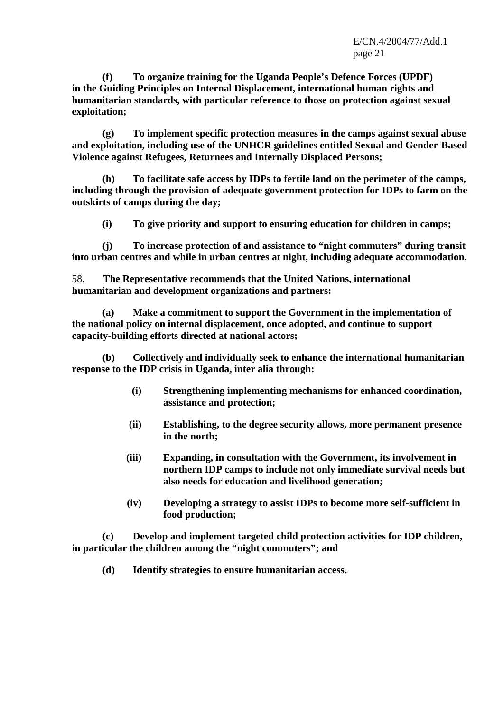**(f) To organize training for the Uganda People's Defence Forces (UPDF) in the Guiding Principles on Internal Displacement, international human rights and humanitarian standards, with particular reference to those on protection against sexual exploitation;** 

 **(g) To implement specific protection measures in the camps against sexual abuse and exploitation, including use of the UNHCR guidelines entitled Sexual and Gender-Based Violence against Refugees, Returnees and Internally Displaced Persons;** 

 **(h) To facilitate safe access by IDPs to fertile land on the perimeter of the camps, including through the provision of adequate government protection for IDPs to farm on the outskirts of camps during the day;** 

 **(i) To give priority and support to ensuring education for children in camps;** 

 **(j) To increase protection of and assistance to "night commuters" during transit into urban centres and while in urban centres at night, including adequate accommodation.** 

58. **The Representative recommends that the United Nations, international humanitarian and development organizations and partners:**

 **(a) Make a commitment to support the Government in the implementation of the national policy on internal displacement, once adopted, and continue to support capacity-building efforts directed at national actors;** 

 **(b) Collectively and individually seek to enhance the international humanitarian response to the IDP crisis in Uganda, inter alia through:** 

- **(i) Strengthening implementing mechanisms for enhanced coordination, assistance and protection;**
- **(ii) Establishing, to the degree security allows, more permanent presence in the north;**
- **(iii) Expanding, in consultation with the Government, its involvement in northern IDP camps to include not only immediate survival needs but also needs for education and livelihood generation;**
- **(iv) Developing a strategy to assist IDPs to become more self-sufficient in food production;**

 **(c) Develop and implement targeted child protection activities for IDP children, in particular the children among the "night commuters"; and** 

 **(d) Identify strategies to ensure humanitarian access.**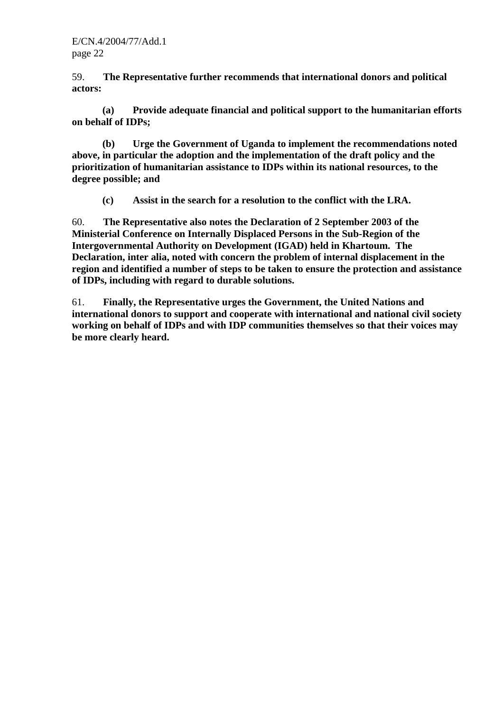59. **The Representative further recommends that international donors and political actors:**

 **(a) Provide adequate financial and political support to the humanitarian efforts on behalf of IDPs;** 

 **(b) Urge the Government of Uganda to implement the recommendations noted above, in particular the adoption and the implementation of the draft policy and the prioritization of humanitarian assistance to IDPs within its national resources, to the degree possible; and** 

 **(c) Assist in the search for a resolution to the conflict with the LRA.** 

60. **The Representative also notes the Declaration of 2 September 2003 of the Ministerial Conference on Internally Displaced Persons in the Sub-Region of the Intergovernmental Authority on Development (IGAD) held in Khartoum. The Declaration, inter alia, noted with concern the problem of internal displacement in the region and identified a number of steps to be taken to ensure the protection and assistance of IDPs, including with regard to durable solutions.** 

61. **Finally, the Representative urges the Government, the United Nations and international donors to support and cooperate with international and national civil society working on behalf of IDPs and with IDP communities themselves so that their voices may be more clearly heard.**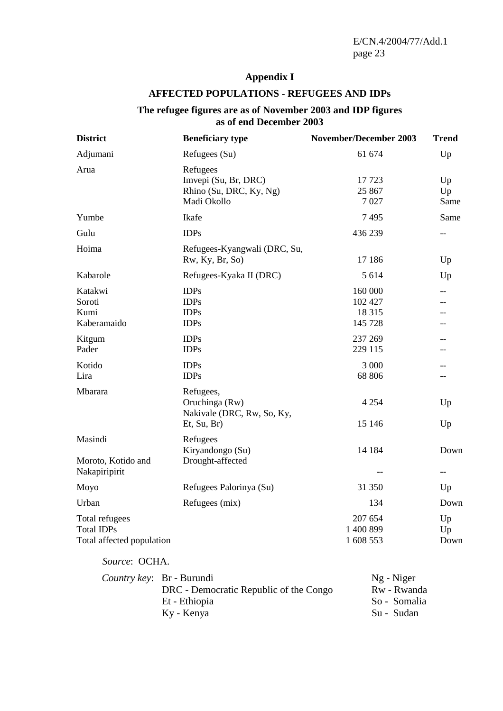# **Appendix I**

## **AFFECTED POPULATIONS - REFUGEES AND IDPs**

#### **The refugee figures are as of November 2003 and IDP figures as of end December 2003**

| <b>District</b>                                                  | <b>Beneficiary type</b>                                                    | November/December 2003                   | <b>Trend</b>                     |
|------------------------------------------------------------------|----------------------------------------------------------------------------|------------------------------------------|----------------------------------|
| Adjumani                                                         | Refugees (Su)                                                              | 61 674                                   | Up                               |
| Arua                                                             | Refugees<br>Imvepi (Su, Br, DRC)<br>Rhino (Su, DRC, Ky, Ng)<br>Madi Okollo | 17723<br>25 867<br>7027                  | Up<br>Up<br>Same                 |
| Yumbe                                                            | Ikafe                                                                      | 7495                                     | Same                             |
| Gulu                                                             | <b>IDPs</b>                                                                | 436 239                                  | $-$                              |
| Hoima                                                            | Refugees-Kyangwali (DRC, Su,<br>Rw, Ky, Br, So)                            | 17 18 6                                  | Up                               |
| Kabarole                                                         | Refugees-Kyaka II (DRC)                                                    | 5 6 1 4                                  | Up                               |
| Katakwi<br>Soroti<br>Kumi<br>Kaberamaido                         | <b>IDPs</b><br><b>IDPs</b><br><b>IDPs</b><br><b>IDPs</b>                   | 160 000<br>102 427<br>18 3 15<br>145 728 | $-$<br>$- -$                     |
| Kitgum<br>Pader                                                  | <b>IDPs</b><br><b>IDPs</b>                                                 | 237 269<br>229 115                       | --<br>$-$                        |
| Kotido<br>Lira                                                   | <b>IDPs</b><br><b>IDPs</b>                                                 | 3 000<br>68 806                          | --<br>--                         |
| Mbarara                                                          | Refugees,<br>Oruchinga (Rw)<br>Nakivale (DRC, Rw, So, Ky,<br>Et, Su, Br)   | 4 2 5 4<br>15 14 6                       | Up<br>Up                         |
| Masindi<br>Moroto, Kotido and<br>Nakapiripirit                   | Refugees<br>Kiryandongo (Su)<br>Drought-affected                           | 14 184<br>$\overline{\phantom{m}}$       | Down<br>$\overline{\phantom{m}}$ |
| Moyo                                                             | Refugees Palorinya (Su)                                                    | 31 350                                   | Up                               |
| Urban                                                            | Refugees (mix)                                                             | 134                                      | Down                             |
| Total refugees<br><b>Total IDPs</b><br>Total affected population |                                                                            | 207 654<br>1 400 899<br>1 608 553        | Up<br>Up<br>Down                 |
| Source: OCHA.                                                    |                                                                            |                                          |                                  |

| <i>Country key</i> : Br - Burundi      | Ng - Niger   |
|----------------------------------------|--------------|
| DRC - Democratic Republic of the Congo | Rw - Rwanda  |
| Et - Ethiopia                          | So - Somalia |
| Ky - Kenya                             | Su - Sudan   |
|                                        |              |